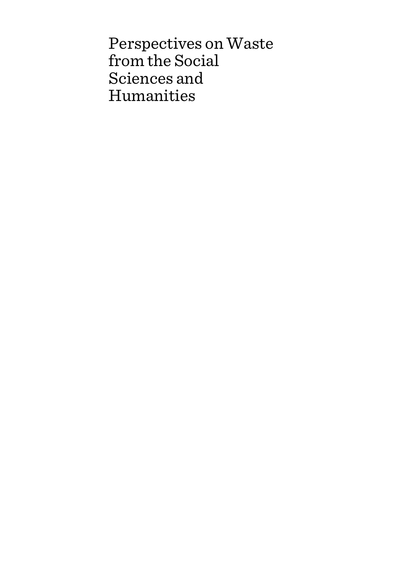Perspectives on Waste from the Social Sciences and Humanities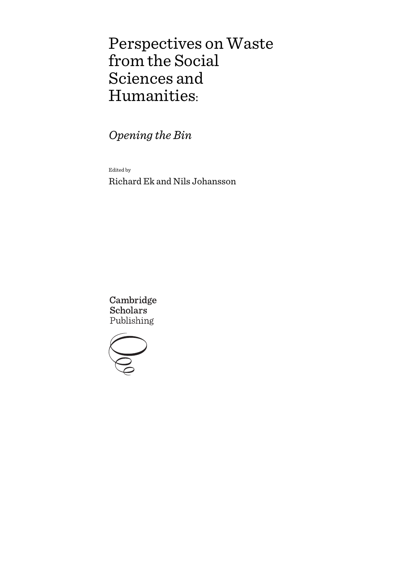# Perspectives on Waste from the Social Sciences and Humanities:

*Opening the Bin*

Edited by

Richard Ek and Nils Johansson

Cambridge **Scholars** Publishing

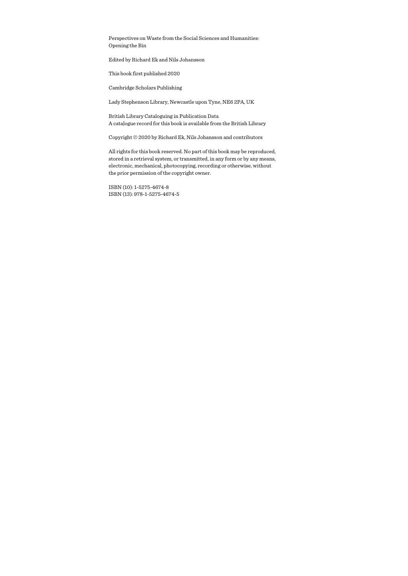Perspectives on Waste from the Social Sciences and Humanities: Opening the Bin

Edited by Richard Ek and Nils Johansson

This book first published 2020

Cambridge Scholars Publishing

Lady Stephenson Library, Newcastle upon Tyne, NE6 2PA, UK

British Library Cataloguing in Publication Data A catalogue record for this book is available from the British Library

Copyright © 2020 by Richard Ek, Nils Johansson and contributors

All rights for this book reserved. No part of this book may be reproduced, stored in a retrieval system, or transmitted, in any form or by any means, electronic, mechanical, photocopying, recording or otherwise, without the prior permission of the copyright owner.

ISBN (10): 1-5275-4674-8 ISBN (13): 978-1-5275-4674-5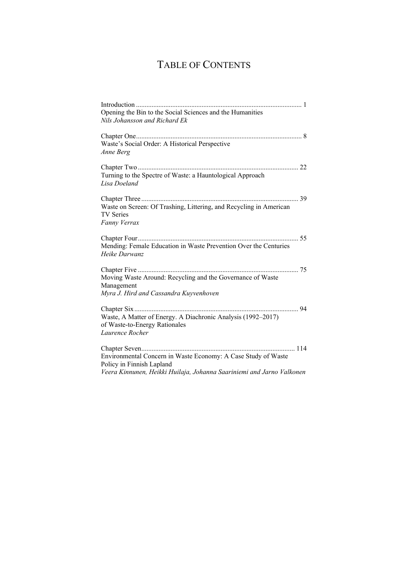# TABLE OF CONTENTS

| Opening the Bin to the Social Sciences and the Humanities             |
|-----------------------------------------------------------------------|
| Nils Johansson and Richard Ek                                         |
|                                                                       |
| Waste's Social Order: A Historical Perspective                        |
| Anne Berg                                                             |
|                                                                       |
| Turning to the Spectre of Waste: a Hauntological Approach             |
| Lisa Doeland                                                          |
|                                                                       |
| Waste on Screen: Of Trashing, Littering, and Recycling in American    |
| <b>TV Series</b>                                                      |
| Fanny Verrax                                                          |
|                                                                       |
| Mending: Female Education in Waste Prevention Over the Centuries      |
| Heike Darwanz                                                         |
|                                                                       |
| Moving Waste Around: Recycling and the Governance of Waste            |
| Management                                                            |
| Myra J. Hird and Cassandra Kuyvenhoven                                |
|                                                                       |
| Waste, A Matter of Energy. A Diachronic Analysis (1992-2017)          |
| of Waste-to-Energy Rationales                                         |
| Laurence Rocher                                                       |
|                                                                       |
| Environmental Concern in Waste Economy: A Case Study of Waste         |
| Policy in Finnish Lapland                                             |
| Veera Kinnunen, Heikki Huilaja, Johanna Saariniemi and Jarno Valkonen |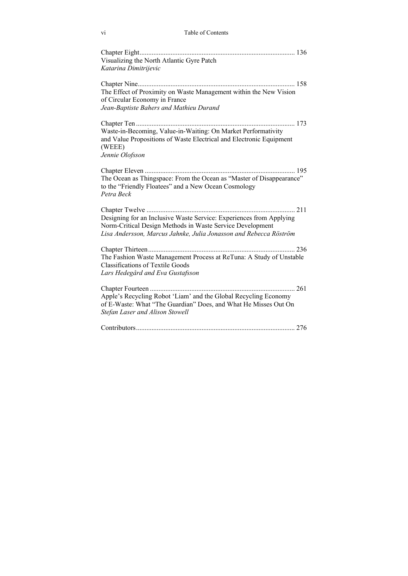| Visualizing the North Atlantic Gyre Patch                                     |  |
|-------------------------------------------------------------------------------|--|
| Katarina Dimitrijevic                                                         |  |
|                                                                               |  |
| The Effect of Proximity on Waste Management within the New Vision             |  |
| of Circular Economy in France                                                 |  |
| Jean-Baptiste Bahers and Mathieu Durand                                       |  |
|                                                                               |  |
| Waste-in-Becoming, Value-in-Waiting: On Market Performativity                 |  |
| and Value Propositions of Waste Electrical and Electronic Equipment<br>(WEEE) |  |
| Jennie Olofsson                                                               |  |
|                                                                               |  |
|                                                                               |  |
| The Ocean as Thingspace: From the Ocean as "Master of Disappearance"          |  |
| to the "Friendly Floatees" and a New Ocean Cosmology                          |  |
| Petra Beck                                                                    |  |
|                                                                               |  |
| Designing for an Inclusive Waste Service: Experiences from Applying           |  |
| Norm-Critical Design Methods in Waste Service Development                     |  |
| Lisa Andersson, Marcus Jahnke, Julia Jonasson and Rebecca Röström             |  |
|                                                                               |  |
| The Fashion Waste Management Process at ReTuna: A Study of Unstable           |  |
| <b>Classifications of Textile Goods</b>                                       |  |
| Lars Hedegård and Eva Gustafsson                                              |  |
| Chapter Fourteen                                                              |  |
| Apple's Recycling Robot 'Liam' and the Global Recycling Economy               |  |
| of E-Waste: What "The Guardian" Does, and What He Misses Out On               |  |
| Stefan Laser and Alison Stowell                                               |  |
|                                                                               |  |
|                                                                               |  |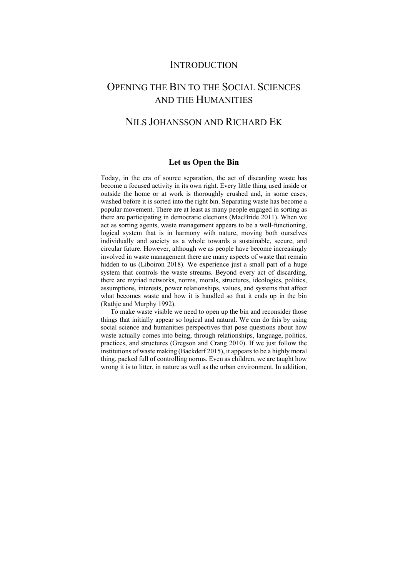### **INTRODUCTION**

# OPENING THE BIN TO THE SOCIAL SCIENCES AND THE HUMANITIES

# NILS JOHANSSON AND RICHARD EK

### **Let us Open the Bin**

Today, in the era of source separation, the act of discarding waste has become a focused activity in its own right. Every little thing used inside or outside the home or at work is thoroughly crushed and, in some cases, washed before it is sorted into the right bin. Separating waste has become a popular movement. There are at least as many people engaged in sorting as there are participating in democratic elections (MacBride 2011). When we act as sorting agents, waste management appears to be a well-functioning, logical system that is in harmony with nature, moving both ourselves individually and society as a whole towards a sustainable, secure, and circular future. However, although we as people have become increasingly involved in waste management there are many aspects of waste that remain hidden to us (Liboiron 2018). We experience just a small part of a huge system that controls the waste streams. Beyond every act of discarding, there are myriad networks, norms, morals, structures, ideologies, politics, assumptions, interests, power relationships, values, and systems that affect what becomes waste and how it is handled so that it ends up in the bin (Rathje and Murphy 1992).

To make waste visible we need to open up the bin and reconsider those things that initially appear so logical and natural. We can do this by using social science and humanities perspectives that pose questions about how waste actually comes into being, through relationships, language, politics, practices, and structures (Gregson and Crang 2010). If we just follow the institutions of waste making (Backderf 2015), it appears to be a highly moral thing, packed full of controlling norms. Even as children, we are taught how wrong it is to litter, in nature as well as the urban environment. In addition,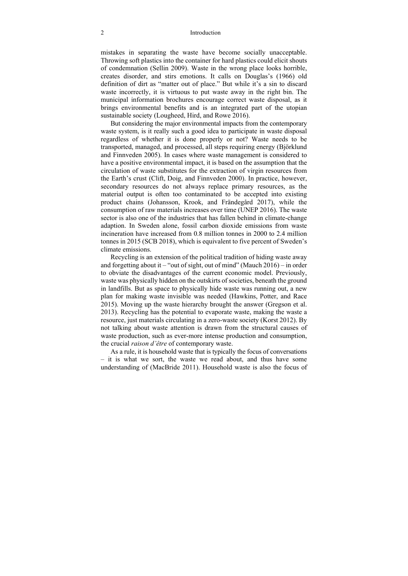#### 2 Introduction

mistakes in separating the waste have become socially unacceptable. Throwing soft plastics into the container for hard plastics could elicit shouts of condemnation (Sellin 2009). Waste in the wrong place looks horrible, creates disorder, and stirs emotions. It calls on Douglas's (1966) old definition of dirt as "matter out of place." But while it's a sin to discard waste incorrectly, it is virtuous to put waste away in the right bin. The municipal information brochures encourage correct waste disposal, as it brings environmental benefits and is an integrated part of the utopian sustainable society (Lougheed, Hird, and Rowe 2016).

But considering the major environmental impacts from the contemporary waste system, is it really such a good idea to participate in waste disposal regardless of whether it is done properly or not? Waste needs to be transported, managed, and processed, all steps requiring energy (Björklund and Finnveden 2005). In cases where waste management is considered to have a positive environmental impact, it is based on the assumption that the circulation of waste substitutes for the extraction of virgin resources from the Earth's crust (Clift, Doig, and Finnveden 2000). In practice, however, secondary resources do not always replace primary resources, as the material output is often too contaminated to be accepted into existing product chains (Johansson, Krook, and Frändegård 2017), while the consumption of raw materials increases over time (UNEP 2016). The waste sector is also one of the industries that has fallen behind in climate-change adaption. In Sweden alone, fossil carbon dioxide emissions from waste incineration have increased from 0.8 million tonnes in 2000 to 2.4 million tonnes in 2015 (SCB 2018), which is equivalent to five percent of Sweden's climate emissions.

Recycling is an extension of the political tradition of hiding waste away and forgetting about it – "out of sight, out of mind" (Mauch  $2016$ ) – in order to obviate the disadvantages of the current economic model. Previously, waste was physically hidden on the outskirts of societies, beneath the ground in landfills. But as space to physically hide waste was running out, a new plan for making waste invisible was needed (Hawkins, Potter, and Race 2015). Moving up the waste hierarchy brought the answer (Gregson et al. 2013). Recycling has the potential to evaporate waste, making the waste a resource, just materials circulating in a zero-waste society (Korst 2012). By not talking about waste attention is drawn from the structural causes of waste production, such as ever-more intense production and consumption, the crucial *raison d'être* of contemporary waste.

As a rule, it is household waste that is typically the focus of conversations – it is what we sort, the waste we read about, and thus have some understanding of (MacBride 2011). Household waste is also the focus of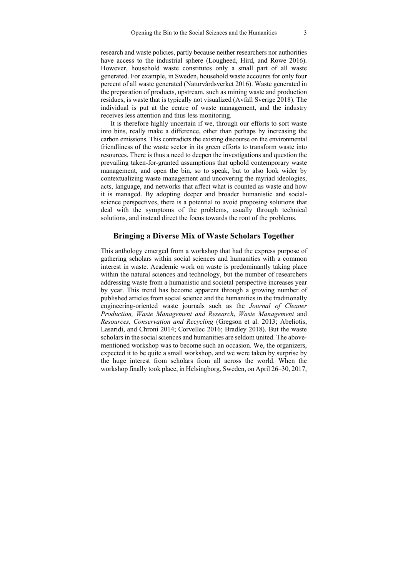research and waste policies, partly because neither researchers nor authorities have access to the industrial sphere (Lougheed, Hird, and Rowe 2016). However, household waste constitutes only a small part of all waste generated. For example, in Sweden, household waste accounts for only four percent of all waste generated (Naturvårdsverket 2016). Waste generated in the preparation of products, upstream, such as mining waste and production residues, is waste that is typically not visualized (Avfall Sverige 2018). The individual is put at the centre of waste management, and the industry receives less attention and thus less monitoring.

It is therefore highly uncertain if we, through our efforts to sort waste into bins, really make a difference, other than perhaps by increasing the carbon emissions. This contradicts the existing discourse on the environmental friendliness of the waste sector in its green efforts to transform waste into resources. There is thus a need to deepen the investigations and question the prevailing taken-for-granted assumptions that uphold contemporary waste management, and open the bin, so to speak, but to also look wider by contextualizing waste management and uncovering the myriad ideologies, acts, language, and networks that affect what is counted as waste and how it is managed. By adopting deeper and broader humanistic and socialscience perspectives, there is a potential to avoid proposing solutions that deal with the symptoms of the problems, usually through technical solutions, and instead direct the focus towards the root of the problems.

### **Bringing a Diverse Mix of Waste Scholars Together**

This anthology emerged from a workshop that had the express purpose of gathering scholars within social sciences and humanities with a common interest in waste. Academic work on waste is predominantly taking place within the natural sciences and technology, but the number of researchers addressing waste from a humanistic and societal perspective increases year by year. This trend has become apparent through a growing number of published articles from social science and the humanities in the traditionally engineering-oriented waste journals such as the *Journal of Cleaner Production, Waste Management and Research*, *Waste Management* and *Resources, Conservation and Recycling* (Gregson et al. 2013; Abeliotis, Lasaridi, and Chroni 2014; Corvellec 2016; Bradley 2018). But the waste scholars in the social sciences and humanities are seldom united. The abovementioned workshop was to become such an occasion. We, the organizers, expected it to be quite a small workshop, and we were taken by surprise by the huge interest from scholars from all across the world. When the workshop finally took place, in Helsingborg, Sweden, on April 26–30, 2017,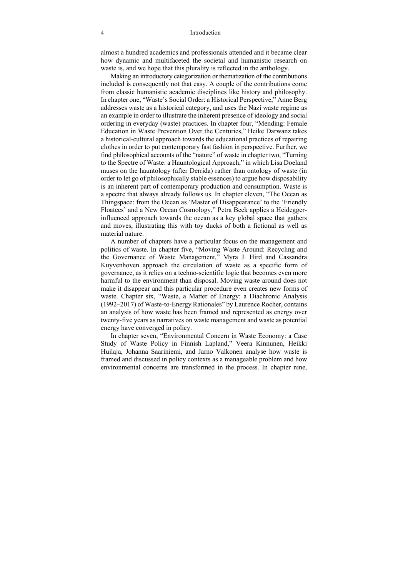#### 4 Introduction

almost a hundred academics and professionals attended and it became clear how dynamic and multifaceted the societal and humanistic research on waste is, and we hope that this plurality is reflected in the anthology.

Making an introductory categorization or thematization of the contributions included is consequently not that easy. A couple of the contributions come from classic humanistic academic disciplines like history and philosophy. In chapter one, "Waste's Social Order: a Historical Perspective," Anne Berg addresses waste as a historical category, and uses the Nazi waste regime as an example in order to illustrate the inherent presence of ideology and social ordering in everyday (waste) practices. In chapter four, "Mending: Female Education in Waste Prevention Over the Centuries," Heike Darwanz takes a historical-cultural approach towards the educational practices of repairing clothes in order to put contemporary fast fashion in perspective. Further, we find philosophical accounts of the "nature" of waste in chapter two, "Turning to the Spectre of Waste: a Hauntological Approach," in which Lisa Doeland muses on the hauntology (after Derrida) rather than ontology of waste (in order to let go of philosophically stable essences) to argue how disposability is an inherent part of contemporary production and consumption. Waste is a spectre that always already follows us. In chapter eleven, "The Ocean as Thingspace: from the Ocean as 'Master of Disappearance' to the 'Friendly Floatees' and a New Ocean Cosmology," Petra Beck applies a Heideggerinfluenced approach towards the ocean as a key global space that gathers and moves, illustrating this with toy ducks of both a fictional as well as material nature.

A number of chapters have a particular focus on the management and politics of waste. In chapter five, "Moving Waste Around: Recycling and the Governance of Waste Management," Myra J. Hird and Cassandra Kuyvenhoven approach the circulation of waste as a specific form of governance, as it relies on a techno-scientific logic that becomes even more harmful to the environment than disposal. Moving waste around does not make it disappear and this particular procedure even creates new forms of waste. Chapter six, "Waste, a Matter of Energy: a Diachronic Analysis (1992–2017) of Waste-to-Energy Rationales" by Laurence Rocher, contains an analysis of how waste has been framed and represented as energy over twenty-five years as narratives on waste management and waste as potential energy have converged in policy.

In chapter seven, "Environmental Concern in Waste Economy: a Case Study of Waste Policy in Finnish Lapland," Veera Kinnunen, Heikki Huilaja, Johanna Saariniemi, and Jarno Valkonen analyse how waste is framed and discussed in policy contexts as a manageable problem and how environmental concerns are transformed in the process. In chapter nine,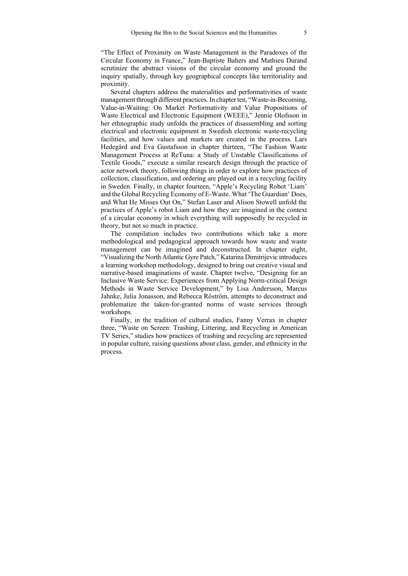"The Effect of Proximity on Waste Management in the Paradoxes of the Circular Economy in France," Jean-Baptiste Bahers and Mathieu Durand scrutinize the abstract visions of the circular economy and ground the inquiry spatially, through key geographical concepts like territoriality and proximity.

Several chapters address the materialities and performativities of waste management through different practices. In chapter ten, "Waste-in-Becoming, Value-in-Waiting: On Market Performativity and Value Propositions of Waste Electrical and Electronic Equipment (WEEE)," Jennie Olofsson in her ethnographic study unfolds the practices of disassembling and sorting electrical and electronic equipment in Swedish electronic waste-recycling facilities, and how values and markets are created in the process. Lars Hedegård and Eva Gustafsson in chapter thirteen, "The Fashion Waste Management Process at ReTuna: a Study of Unstable Classifications of Textile Goods," execute a similar research design through the practice of actor network theory, following things in order to explore how practices of collection, classification, and ordering are played out in a recycling facility in Sweden. Finally, in chapter fourteen, "Apple's Recycling Robot 'Liam' and the Global Recycling Economy of E-Waste. What 'The Guardian' Does, and What He Misses Out On," Stefan Laser and Alison Stowell unfold the practices of Apple's robot Liam and how they are imagined in the context of a circular economy in which everything will supposedly be recycled in theory, but not so much in practice.

The compilation includes two contributions which take a more methodological and pedagogical approach towards how waste and waste management can be imagined and deconstructed. In chapter eight, "Visualizing the North Atlantic Gyre Patch," Katarina Dimitrijevic introduces a learning workshop methodology, designed to bring out creative visual and narrative-based imaginations of waste. Chapter twelve, "Designing for an Inclusive Waste Service: Experiences from Applying Norm-critical Design Methods in Waste Service Development," by Lisa Andersson, Marcus Jahnke, Julia Jonasson, and Rebecca Röström, attempts to deconstruct and problematize the taken-for-granted norms of waste services through workshops.

Finally, in the tradition of cultural studies, Fanny Verrax in chapter three, "Waste on Screen: Trashing, Littering, and Recycling in American TV Series," studies how practices of trashing and recycling are represented in popular culture, raising questions about class, gender, and ethnicity in the process.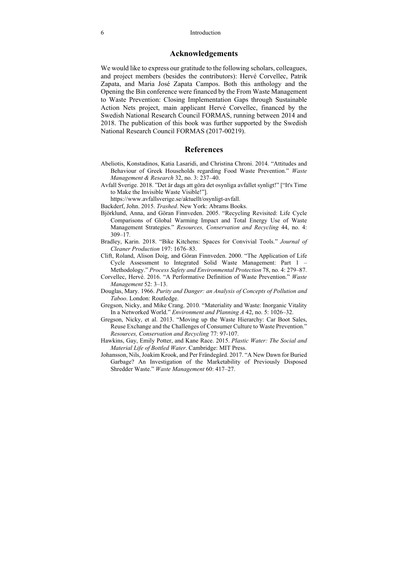### **Acknowledgements**

We would like to express our gratitude to the following scholars, colleagues, and project members (besides the contributors): Hervé Corvellec, Patrik Zapata, and Maria José Zapata Campos. Both this anthology and the Opening the Bin conference were financed by the From Waste Management to Waste Prevention: Closing Implementation Gaps through Sustainable Action Nets project, main applicant Hervé Corvellec, financed by the Swedish National Research Council FORMAS, running between 2014 and 2018. The publication of this book was further supported by the Swedish National Research Council FORMAS (2017-00219).

### **References**

- Abeliotis, Konstadinos, Katia Lasaridi, and Christina Chroni. 2014. "Attitudes and Behaviour of Greek Households regarding Food Waste Prevention." *Waste Management & Research* 32, no. 3: 237–40.
- Avfall Sverige. 2018. "Det är dags att göra det osynliga avfallet synligt!" ["It's Time to Make the Invisible Waste Visible!"].

https://www.avfallsverige.se/aktuellt/osynligt-avfall.

- Backderf, John. 2015. *Trashed*. New York: Abrams Books.
- Björklund, Anna, and Göran Finnveden. 2005. "Recycling Revisited: Life Cycle Comparisons of Global Warming Impact and Total Energy Use of Waste Management Strategies." *Resources, Conservation and Recycling* 44, no. 4: 309–17.
- Bradley, Karin. 2018. "Bike Kitchens: Spaces for Convivial Tools." *Journal of Cleaner Production* 197: 1676–83.
- Clift, Roland, Alison Doig, and Göran Finnveden. 2000. "The Application of Life Cycle Assessment to Integrated Solid Waste Management: Part 1 – Methodology." *Process Safety and Environmental Protection* 78, no. 4: 279–87.
- Corvellec, Hervé. 2016. "A Performative Definition of Waste Prevention." *Waste Management* 52: 3–13.
- Douglas, Mary. 1966. *Purity and Danger: an Analysis of Concepts of Pollution and Taboo*. London: Routledge.
- Gregson, Nicky, and Mike Crang. 2010. "Materiality and Waste: Inorganic Vitality In a Networked World." *Environment and Planning A* 42, no. 5: 1026–32.
- Gregson, Nicky, et al. 2013. "Moving up the Waste Hierarchy: Car Boot Sales, Reuse Exchange and the Challenges of Consumer Culture to Waste Prevention." *Resources, Conservation and Recycling* 77: 97-107.
- Hawkins, Gay, Emily Potter, and Kane Race. 2015. *Plastic Water: The Social and Material Life of Bottled Water*. Cambridge: MIT Press.
- Johansson, Nils, Joakim Krook, and Per Frändegård. 2017. "A New Dawn for Buried Garbage? An Investigation of the Marketability of Previously Disposed Shredder Waste." *Waste Management* 60: 417–27.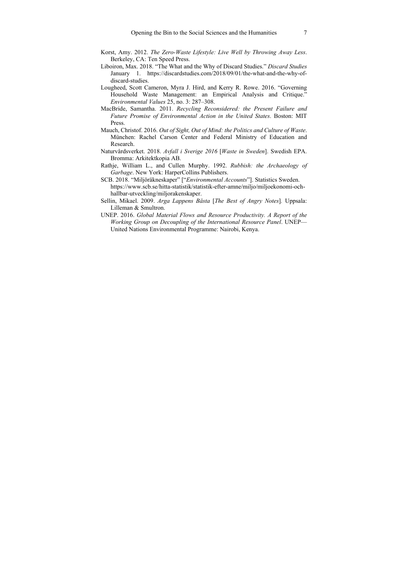- Korst, Amy. 2012. *The Zero-Waste Lifestyle: Live Well by Throwing Away Less*. Berkeley, CA: Ten Speed Press.
- Liboiron, Max. 2018. "The What and the Why of Discard Studies." *Discard Studies* January 1. https://discardstudies.com/2018/09/01/the-what-and-the-why-ofdiscard-studies.
- Lougheed, Scott Cameron, Myra J. Hird, and Kerry R. Rowe. 2016. "Governing Household Waste Management: an Empirical Analysis and Critique." *Environmental Values* 25, no. 3: 287–308.
- MacBride, Samantha. 2011. *Recycling Reconsidered: the Present Failure and Future Promise of Environmental Action in the United States*. Boston: MIT Press.
- Mauch, Christof. 2016. *Out of Sight, Out of Mind: the Politics and Culture of Waste*. München: Rachel Carson Center and Federal Ministry of Education and Research.
- Naturvårdsverket. 2018. *Avfall i Sverige 2016* [*Waste in Sweden*]. Swedish EPA. Bromma: Arkitektkopia AB.
- Rathje, William L., and Cullen Murphy. 1992. *Rubbish: the Archaeology of Garbage*. New York: HarperCollins Publishers.
- SCB. 2018. "Miljöräkneskaper" ["*Environmental Accounts*"]. Statistics Sweden. https://www.scb.se/hitta-statistik/statistik-efter-amne/miljo/miljoekonomi-ochhallbar-utveckling/miljorakenskaper.
- Sellin, Mikael. 2009. *Arga Lappens Bästa* [*The Best of Angry Notes*]*.* Uppsala: Lilleman & Smultron.
- UNEP. 2016. *Global Material Flows and Resource Productivity. A Report of the Working Group on Decoupling of the International Resource Panel*. UNEP— United Nations Environmental Programme: Nairobi, Kenya.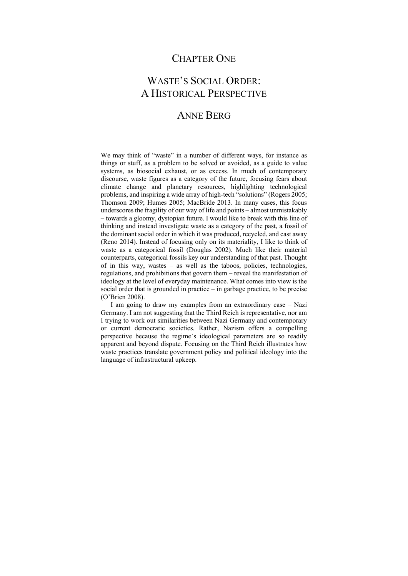## CHAPTER ONE

# WASTE'S SOCIAL ORDER: A HISTORICAL PERSPECTIVE

### ANNE BERG

We may think of "waste" in a number of different ways, for instance as things or stuff, as a problem to be solved or avoided, as a guide to value systems, as biosocial exhaust, or as excess. In much of contemporary discourse, waste figures as a category of the future, focusing fears about climate change and planetary resources, highlighting technological problems, and inspiring a wide array of high-tech "solutions" (Rogers 2005; Thomson 2009; Humes 2005; MacBride 2013. In many cases, this focus underscores the fragility of our way of life and points – almost unmistakably – towards a gloomy, dystopian future. I would like to break with this line of thinking and instead investigate waste as a category of the past, a fossil of the dominant social order in which it was produced, recycled, and cast away (Reno 2014). Instead of focusing only on its materiality, I like to think of waste as a categorical fossil (Douglas 2002). Much like their material counterparts, categorical fossils key our understanding of that past. Thought of in this way, wastes – as well as the taboos, policies, technologies, regulations, and prohibitions that govern them – reveal the manifestation of ideology at the level of everyday maintenance. What comes into view is the social order that is grounded in practice – in garbage practice, to be precise (O'Brien 2008).

I am going to draw my examples from an extraordinary case – Nazi Germany. I am not suggesting that the Third Reich is representative, nor am I trying to work out similarities between Nazi Germany and contemporary or current democratic societies. Rather, Nazism offers a compelling perspective because the regime's ideological parameters are so readily apparent and beyond dispute. Focusing on the Third Reich illustrates how waste practices translate government policy and political ideology into the language of infrastructural upkeep.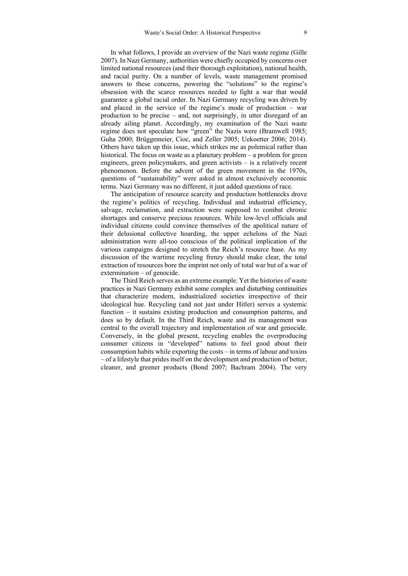In what follows, I provide an overview of the Nazi waste regime (Gille 2007). In Nazi Germany, authorities were chiefly occupied by concerns over limited national resources (and their thorough exploitation), national health, and racial purity. On a number of levels, waste management promised answers to these concerns, powering the "solutions" to the regime's obsession with the scarce resources needed to fight a war that would guarantee a global racial order. In Nazi Germany recycling was driven by and placed in the service of the regime's mode of production – war production to be precise – and, not surprisingly, in utter disregard of an already ailing planet. Accordingly, my examination of the Nazi waste regime does not speculate how "green" the Nazis were (Bramwell 1985; Guha 2000; Brüggemeier, Cioc, and Zeller 2005; Uekoetter 2006; 2014). Others have taken up this issue, which strikes me as polemical rather than historical. The focus on waste as a planetary problem – a problem for green engineers, green policymakers, and green activists – is a relatively recent phenomenon. Before the advent of the green movement in the 1970s, questions of "sustainability" were asked in almost exclusively economic terms. Nazi Germany was no different, it just added questions of race.

The anticipation of resource scarcity and production bottlenecks drove the regime's politics of recycling. Individual and industrial efficiency, salvage, reclamation, and extraction were supposed to combat chronic shortages and conserve precious resources. While low-level officials and individual citizens could convince themselves of the apolitical nature of their delusional collective hoarding, the upper echelons of the Nazi administration were all-too conscious of the political implication of the various campaigns designed to stretch the Reich's resource base. As my discussion of the wartime recycling frenzy should make clear, the total extraction of resources bore the imprint not only of total war but of a war of extermination – of genocide.

The Third Reich serves as an extreme example. Yet the histories of waste practices in Nazi Germany exhibit some complex and disturbing continuities that characterize modern, industrialized societies irrespective of their ideological hue. Recycling (and not just under Hitler) serves a systemic function – it sustains existing production and consumption patterns, and does so by default. In the Third Reich, waste and its management was central to the overall trajectory and implementation of war and genocide. Conversely, in the global present, recycling enables the overproducing consumer citizens in "developed" nations to feel good about their consumption habits while exporting the costs – in terms of labour and toxins – of a lifestyle that prides itself on the development and production of better, cleaner, and greener products (Bond 2007; Bachram 2004). The very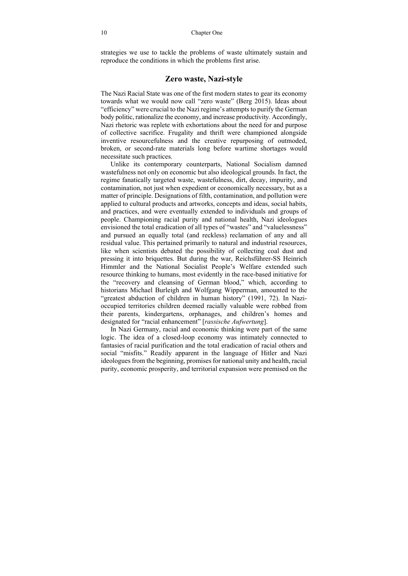strategies we use to tackle the problems of waste ultimately sustain and reproduce the conditions in which the problems first arise.

### **Zero waste, Nazi-style**

The Nazi Racial State was one of the first modern states to gear its economy towards what we would now call "zero waste" (Berg 2015). Ideas about "efficiency" were crucial to the Nazi regime's attempts to purify the German body politic, rationalize the economy, and increase productivity. Accordingly, Nazi rhetoric was replete with exhortations about the need for and purpose of collective sacrifice. Frugality and thrift were championed alongside inventive resourcefulness and the creative repurposing of outmoded, broken, or second-rate materials long before wartime shortages would necessitate such practices.

Unlike its contemporary counterparts, National Socialism damned wastefulness not only on economic but also ideological grounds. In fact, the regime fanatically targeted waste, wastefulness, dirt, decay, impurity, and contamination, not just when expedient or economically necessary, but as a matter of principle. Designations of filth, contamination, and pollution were applied to cultural products and artworks, concepts and ideas, social habits, and practices, and were eventually extended to individuals and groups of people. Championing racial purity and national health, Nazi ideologues envisioned the total eradication of all types of "wastes" and "valuelessness" and pursued an equally total (and reckless) reclamation of any and all residual value. This pertained primarily to natural and industrial resources, like when scientists debated the possibility of collecting coal dust and pressing it into briquettes. But during the war, Reichsführer-SS Heinrich Himmler and the National Socialist People's Welfare extended such resource thinking to humans, most evidently in the race-based initiative for the "recovery and cleansing of German blood," which, according to historians Michael Burleigh and Wolfgang Wipperman, amounted to the "greatest abduction of children in human history" (1991, 72). In Nazioccupied territories children deemed racially valuable were robbed from their parents, kindergartens, orphanages, and children's homes and designated for "racial enhancement" [*rassische Aufwertung*].

In Nazi Germany, racial and economic thinking were part of the same logic. The idea of a closed-loop economy was intimately connected to fantasies of racial purification and the total eradication of racial others and social "misfits." Readily apparent in the language of Hitler and Nazi ideologues from the beginning, promises for national unity and health, racial purity, economic prosperity, and territorial expansion were premised on the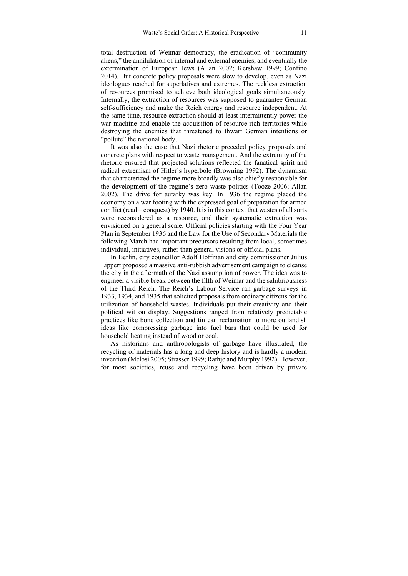total destruction of Weimar democracy, the eradication of "community aliens," the annihilation of internal and external enemies, and eventually the extermination of European Jews (Allan 2002; Kershaw 1999; Confino 2014). But concrete policy proposals were slow to develop, even as Nazi ideologues reached for superlatives and extremes. The reckless extraction of resources promised to achieve both ideological goals simultaneously. Internally, the extraction of resources was supposed to guarantee German self-sufficiency and make the Reich energy and resource independent. At the same time, resource extraction should at least intermittently power the war machine and enable the acquisition of resource-rich territories while destroying the enemies that threatened to thwart German intentions or "pollute" the national body.

It was also the case that Nazi rhetoric preceded policy proposals and concrete plans with respect to waste management. And the extremity of the rhetoric ensured that projected solutions reflected the fanatical spirit and radical extremism of Hitler's hyperbole (Browning 1992). The dynamism that characterized the regime more broadly was also chiefly responsible for the development of the regime's zero waste politics (Tooze 2006; Allan 2002). The drive for autarky was key. In 1936 the regime placed the economy on a war footing with the expressed goal of preparation for armed conflict (read – conquest) by 1940. It is in this context that wastes of all sorts were reconsidered as a resource, and their systematic extraction was envisioned on a general scale. Official policies starting with the Four Year Plan in September 1936 and the Law for the Use of Secondary Materials the following March had important precursors resulting from local, sometimes individual, initiatives, rather than general visions or official plans.

In Berlin, city councillor Adolf Hoffman and city commissioner Julius Lippert proposed a massive anti-rubbish advertisement campaign to cleanse the city in the aftermath of the Nazi assumption of power. The idea was to engineer a visible break between the filth of Weimar and the salubriousness of the Third Reich. The Reich's Labour Service ran garbage surveys in 1933, 1934, and 1935 that solicited proposals from ordinary citizens for the utilization of household wastes. Individuals put their creativity and their political wit on display. Suggestions ranged from relatively predictable practices like bone collection and tin can reclamation to more outlandish ideas like compressing garbage into fuel bars that could be used for household heating instead of wood or coal.

As historians and anthropologists of garbage have illustrated, the recycling of materials has a long and deep history and is hardly a modern invention (Melosi 2005; Strasser 1999; Rathje and Murphy 1992). However, for most societies, reuse and recycling have been driven by private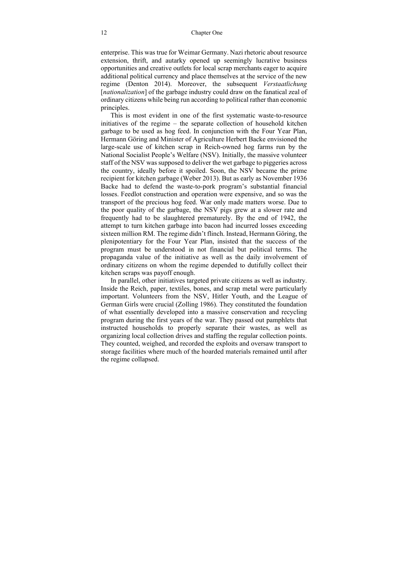enterprise. This was true for Weimar Germany. Nazi rhetoric about resource extension, thrift, and autarky opened up seemingly lucrative business opportunities and creative outlets for local scrap merchants eager to acquire additional political currency and place themselves at the service of the new regime (Denton 2014). Moreover, the subsequent *Verstaatlichung* [*nationalization*] of the garbage industry could draw on the fanatical zeal of ordinary citizens while being run according to political rather than economic principles.

This is most evident in one of the first systematic waste-to-resource initiatives of the regime – the separate collection of household kitchen garbage to be used as hog feed. In conjunction with the Four Year Plan, Hermann Göring and Minister of Agriculture Herbert Backe envisioned the large-scale use of kitchen scrap in Reich-owned hog farms run by the National Socialist People's Welfare (NSV). Initially, the massive volunteer staff of the NSV was supposed to deliver the wet garbage to piggeries across the country, ideally before it spoiled. Soon, the NSV became the prime recipient for kitchen garbage (Weber 2013). But as early as November 1936 Backe had to defend the waste-to-pork program's substantial financial losses. Feedlot construction and operation were expensive, and so was the transport of the precious hog feed. War only made matters worse. Due to the poor quality of the garbage, the NSV pigs grew at a slower rate and frequently had to be slaughtered prematurely. By the end of 1942, the attempt to turn kitchen garbage into bacon had incurred losses exceeding sixteen million RM. The regime didn't flinch. Instead, Hermann Göring, the plenipotentiary for the Four Year Plan, insisted that the success of the program must be understood in not financial but political terms. The propaganda value of the initiative as well as the daily involvement of ordinary citizens on whom the regime depended to dutifully collect their kitchen scraps was payoff enough.

In parallel, other initiatives targeted private citizens as well as industry. Inside the Reich, paper, textiles, bones, and scrap metal were particularly important. Volunteers from the NSV, Hitler Youth, and the League of German Girls were crucial (Zolling 1986). They constituted the foundation of what essentially developed into a massive conservation and recycling program during the first years of the war. They passed out pamphlets that instructed households to properly separate their wastes, as well as organizing local collection drives and staffing the regular collection points. They counted, weighed, and recorded the exploits and oversaw transport to storage facilities where much of the hoarded materials remained until after the regime collapsed.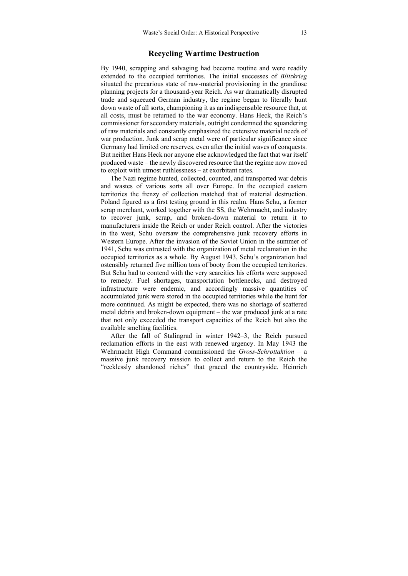### **Recycling Wartime Destruction**

By 1940, scrapping and salvaging had become routine and were readily extended to the occupied territories. The initial successes of *Blitzkrieg* situated the precarious state of raw-material provisioning in the grandiose planning projects for a thousand-year Reich. As war dramatically disrupted trade and squeezed German industry, the regime began to literally hunt down waste of all sorts, championing it as an indispensable resource that, at all costs, must be returned to the war economy. Hans Heck, the Reich's commissioner for secondary materials, outright condemned the squandering of raw materials and constantly emphasized the extensive material needs of war production. Junk and scrap metal were of particular significance since Germany had limited ore reserves, even after the initial waves of conquests. But neither Hans Heck nor anyone else acknowledged the fact that war itself produced waste – the newly discovered resource that the regime now moved to exploit with utmost ruthlessness – at exorbitant rates.

The Nazi regime hunted, collected, counted, and transported war debris and wastes of various sorts all over Europe. In the occupied eastern territories the frenzy of collection matched that of material destruction. Poland figured as a first testing ground in this realm. Hans Schu, a former scrap merchant, worked together with the SS, the Wehrmacht, and industry to recover junk, scrap, and broken-down material to return it to manufacturers inside the Reich or under Reich control. After the victories in the west, Schu oversaw the comprehensive junk recovery efforts in Western Europe. After the invasion of the Soviet Union in the summer of 1941, Schu was entrusted with the organization of metal reclamation in the occupied territories as a whole. By August 1943, Schu's organization had ostensibly returned five million tons of booty from the occupied territories. But Schu had to contend with the very scarcities his efforts were supposed to remedy. Fuel shortages, transportation bottlenecks, and destroyed infrastructure were endemic, and accordingly massive quantities of accumulated junk were stored in the occupied territories while the hunt for more continued. As might be expected, there was no shortage of scattered metal debris and broken-down equipment – the war produced junk at a rate that not only exceeded the transport capacities of the Reich but also the available smelting facilities.

After the fall of Stalingrad in winter 1942–3, the Reich pursued reclamation efforts in the east with renewed urgency. In May 1943 the Wehrmacht High Command commissioned the *Gross-Schrottaktion* – a massive junk recovery mission to collect and return to the Reich the "recklessly abandoned riches" that graced the countryside. Heinrich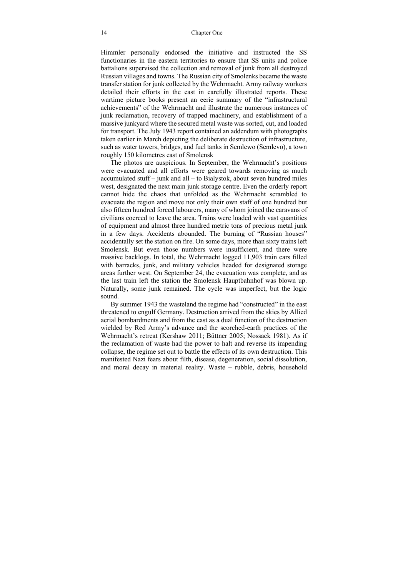#### 14 Chapter One

Himmler personally endorsed the initiative and instructed the SS functionaries in the eastern territories to ensure that SS units and police battalions supervised the collection and removal of junk from all destroyed Russian villages and towns. The Russian city of Smolenks became the waste transfer station for junk collected by the Wehrmacht. Army railway workers detailed their efforts in the east in carefully illustrated reports. These wartime picture books present an eerie summary of the "infrastructural achievements" of the Wehrmacht and illustrate the numerous instances of junk reclamation, recovery of trapped machinery, and establishment of a massive junkyard where the secured metal waste was sorted, cut, and loaded for transport. The July 1943 report contained an addendum with photographs taken earlier in March depicting the deliberate destruction of infrastructure, such as water towers, bridges, and fuel tanks in Semlewo (Semlevo), a town roughly 150 kilometres east of Smolensk

The photos are auspicious. In September, the Wehrmacht's positions were evacuated and all efforts were geared towards removing as much accumulated stuff – junk and all – to Bialystok, about seven hundred miles west, designated the next main junk storage centre. Even the orderly report cannot hide the chaos that unfolded as the Wehrmacht scrambled to evacuate the region and move not only their own staff of one hundred but also fifteen hundred forced labourers, many of whom joined the caravans of civilians coerced to leave the area. Trains were loaded with vast quantities of equipment and almost three hundred metric tons of precious metal junk in a few days. Accidents abounded. The burning of "Russian houses" accidentally set the station on fire. On some days, more than sixty trains left Smolensk. But even those numbers were insufficient, and there were massive backlogs. In total, the Wehrmacht logged 11,903 train cars filled with barracks, junk, and military vehicles headed for designated storage areas further west. On September 24, the evacuation was complete, and as the last train left the station the Smolensk Hauptbahnhof was blown up. Naturally, some junk remained. The cycle was imperfect, but the logic sound.

By summer 1943 the wasteland the regime had "constructed" in the east threatened to engulf Germany. Destruction arrived from the skies by Allied aerial bombardments and from the east as a dual function of the destruction wielded by Red Army's advance and the scorched-earth practices of the Wehrmacht's retreat (Kershaw 2011; Büttner 2005; Nossack 1981). As if the reclamation of waste had the power to halt and reverse its impending collapse, the regime set out to battle the effects of its own destruction. This manifested Nazi fears about filth, disease, degeneration, social dissolution, and moral decay in material reality. Waste – rubble, debris, household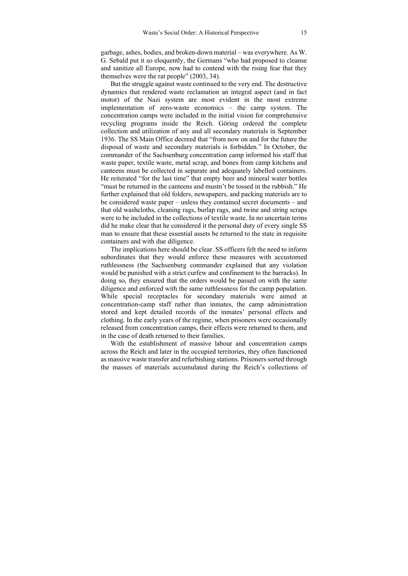garbage, ashes, bodies, and broken-down material – was everywhere. As W. G. Sebald put it so eloquently, the Germans "who had proposed to cleanse and sanitize all Europe, now had to contend with the rising fear that they themselves were the rat people" (2003, 34).

But the struggle against waste continued to the very end. The destructive dynamics that rendered waste reclamation an integral aspect (and in fact motor) of the Nazi system are most evident in the most extreme implementation of zero-waste economics – the camp system. The concentration camps were included in the initial vision for comprehensive recycling programs inside the Reich. Göring ordered the complete collection and utilization of any and all secondary materials in September 1936. The SS Main Office decreed that "from now on and for the future the disposal of waste and secondary materials is forbidden." In October, the commander of the Sachsenburg concentration camp informed his staff that waste paper, textile waste, metal scrap, and bones from camp kitchens and canteens must be collected in separate and adequately labelled containers. He reiterated "for the last time" that empty beer and mineral water bottles "must be returned in the canteens and mustn't be tossed in the rubbish." He further explained that old folders, newspapers, and packing materials are to be considered waste paper – unless they contained secret documents – and that old washcloths, cleaning rags, burlap rags, and twine and string scraps were to be included in the collections of textile waste. In no uncertain terms did he make clear that he considered it the personal duty of every single SS man to ensure that these essential assets be returned to the state in requisite containers and with due diligence.

The implications here should be clear. SS officers felt the need to inform subordinates that they would enforce these measures with accustomed ruthlessness (the Sachsenburg commander explained that any violation would be punished with a strict curfew and confinement to the barracks). In doing so, they ensured that the orders would be passed on with the same diligence and enforced with the same ruthlessness for the camp population. While special receptacles for secondary materials were aimed at concentration-camp staff rather than inmates, the camp administration stored and kept detailed records of the inmates' personal effects and clothing. In the early years of the regime, when prisoners were occasionally released from concentration camps, their effects were returned to them, and in the case of death returned to their families.

With the establishment of massive labour and concentration camps across the Reich and later in the occupied territories, they often functioned as massive waste transfer and refurbishing stations. Prisoners sorted through the masses of materials accumulated during the Reich's collections of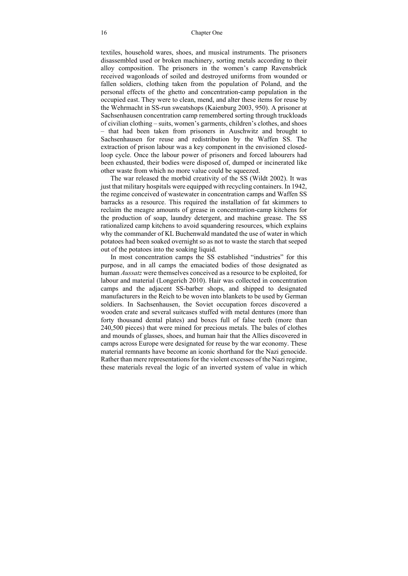textiles, household wares, shoes, and musical instruments. The prisoners disassembled used or broken machinery, sorting metals according to their alloy composition. The prisoners in the women's camp Ravensbrück received wagonloads of soiled and destroyed uniforms from wounded or fallen soldiers, clothing taken from the population of Poland, and the personal effects of the ghetto and concentration-camp population in the occupied east. They were to clean, mend, and alter these items for reuse by the Wehrmacht in SS-run sweatshops (Kaienburg 2003, 950). A prisoner at Sachsenhausen concentration camp remembered sorting through truckloads of civilian clothing – suits, women's garments, children's clothes, and shoes – that had been taken from prisoners in Auschwitz and brought to Sachsenhausen for reuse and redistribution by the Waffen SS. The extraction of prison labour was a key component in the envisioned closedloop cycle. Once the labour power of prisoners and forced labourers had been exhausted, their bodies were disposed of, dumped or incinerated like other waste from which no more value could be squeezed.

The war released the morbid creativity of the SS (Wildt 2002). It was just that military hospitals were equipped with recycling containers. In 1942, the regime conceived of wastewater in concentration camps and Waffen SS barracks as a resource. This required the installation of fat skimmers to reclaim the meagre amounts of grease in concentration-camp kitchens for the production of soap, laundry detergent, and machine grease. The SS rationalized camp kitchens to avoid squandering resources, which explains why the commander of KL Buchenwald mandated the use of water in which potatoes had been soaked overnight so as not to waste the starch that seeped out of the potatoes into the soaking liquid.

In most concentration camps the SS established "industries" for this purpose, and in all camps the emaciated bodies of those designated as human *Aussatz* were themselves conceived as a resource to be exploited, for labour and material (Longerich 2010). Hair was collected in concentration camps and the adjacent SS-barber shops, and shipped to designated manufacturers in the Reich to be woven into blankets to be used by German soldiers. In Sachsenhausen, the Soviet occupation forces discovered a wooden crate and several suitcases stuffed with metal dentures (more than forty thousand dental plates) and boxes full of false teeth (more than 240,500 pieces) that were mined for precious metals. The bales of clothes and mounds of glasses, shoes, and human hair that the Allies discovered in camps across Europe were designated for reuse by the war economy. These material remnants have become an iconic shorthand for the Nazi genocide. Rather than mere representations for the violent excesses of the Nazi regime, these materials reveal the logic of an inverted system of value in which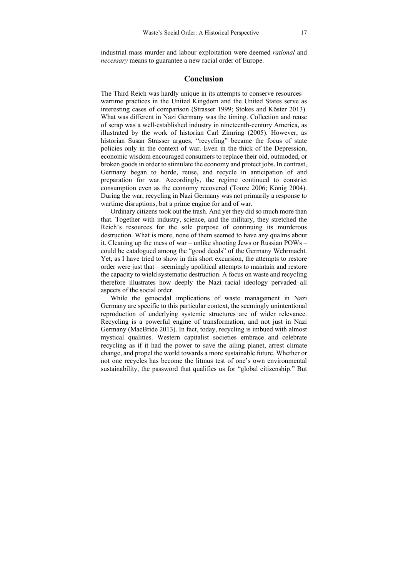industrial mass murder and labour exploitation were deemed *rational* and *necessary* means to guarantee a new racial order of Europe.

### **Conclusion**

The Third Reich was hardly unique in its attempts to conserve resources – wartime practices in the United Kingdom and the United States serve as interesting cases of comparison (Strasser 1999; Stokes and Köster 2013). What was different in Nazi Germany was the timing. Collection and reuse of scrap was a well-established industry in nineteenth-century America, as illustrated by the work of historian Carl Zimring (2005). However, as historian Susan Strasser argues, "recycling" became the focus of state policies only in the context of war. Even in the thick of the Depression, economic wisdom encouraged consumers to replace their old, outmoded, or broken goods in order to stimulate the economy and protect jobs. In contrast, Germany began to horde, reuse, and recycle in anticipation of and preparation for war. Accordingly, the regime continued to constrict consumption even as the economy recovered (Tooze 2006; König 2004). During the war, recycling in Nazi Germany was not primarily a response to wartime disruptions, but a prime engine for and of war.

Ordinary citizens took out the trash. And yet they did so much more than that. Together with industry, science, and the military, they stretched the Reich's resources for the sole purpose of continuing its murderous destruction. What is more, none of them seemed to have any qualms about it. Cleaning up the mess of war – unlike shooting Jews or Russian POWs – could be catalogued among the "good deeds" of the Germany Wehrmacht. Yet, as I have tried to show in this short excursion, the attempts to restore order were just that – seemingly apolitical attempts to maintain and restore the capacity to wield systematic destruction. A focus on waste and recycling therefore illustrates how deeply the Nazi racial ideology pervaded all aspects of the social order.

While the genocidal implications of waste management in Nazi Germany are specific to this particular context, the seemingly unintentional reproduction of underlying systemic structures are of wider relevance. Recycling is a powerful engine of transformation, and not just in Nazi Germany (MacBride 2013). In fact, today, recycling is imbued with almost mystical qualities. Western capitalist societies embrace and celebrate recycling as if it had the power to save the ailing planet, arrest climate change, and propel the world towards a more sustainable future. Whether or not one recycles has become the litmus test of one's own environmental sustainability, the password that qualifies us for "global citizenship." But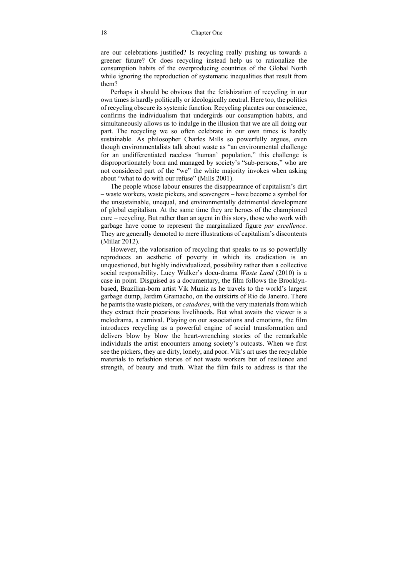are our celebrations justified? Is recycling really pushing us towards a greener future? Or does recycling instead help us to rationalize the consumption habits of the overproducing countries of the Global North while ignoring the reproduction of systematic inequalities that result from them?

Perhaps it should be obvious that the fetishization of recycling in our own times is hardly politically or ideologically neutral. Here too, the politics of recycling obscure its systemic function. Recycling placates our conscience, confirms the individualism that undergirds our consumption habits, and simultaneously allows us to indulge in the illusion that we are all doing our part. The recycling we so often celebrate in our own times is hardly sustainable. As philosopher Charles Mills so powerfully argues, even though environmentalists talk about waste as "an environmental challenge for an undifferentiated raceless 'human' population," this challenge is disproportionately born and managed by society's "sub-persons," who are not considered part of the "we" the white majority invokes when asking about "what to do with our refuse" (Mills 2001).

The people whose labour ensures the disappearance of capitalism's dirt – waste workers, waste pickers, and scavengers – have become a symbol for the unsustainable, unequal, and environmentally detrimental development of global capitalism. At the same time they are heroes of the championed cure – recycling. But rather than an agent in this story, those who work with garbage have come to represent the marginalized figure *par excellence*. They are generally demoted to mere illustrations of capitalism's discontents (Millar 2012).

However, the valorisation of recycling that speaks to us so powerfully reproduces an aesthetic of poverty in which its eradication is an unquestioned, but highly individualized, possibility rather than a collective social responsibility. Lucy Walker's docu-drama *Waste Land* (2010) is a case in point. Disguised as a documentary, the film follows the Brooklynbased, Brazilian-born artist Vik Muniz as he travels to the world's largest garbage dump, Jardim Gramacho, on the outskirts of Rio de Janeiro. There he paints the waste pickers, or *catadores*, with the very materials from which they extract their precarious livelihoods. But what awaits the viewer is a melodrama, a carnival. Playing on our associations and emotions, the film introduces recycling as a powerful engine of social transformation and delivers blow by blow the heart-wrenching stories of the remarkable individuals the artist encounters among society's outcasts. When we first see the pickers, they are dirty, lonely, and poor. Vik's art uses the recyclable materials to refashion stories of not waste workers but of resilience and strength, of beauty and truth. What the film fails to address is that the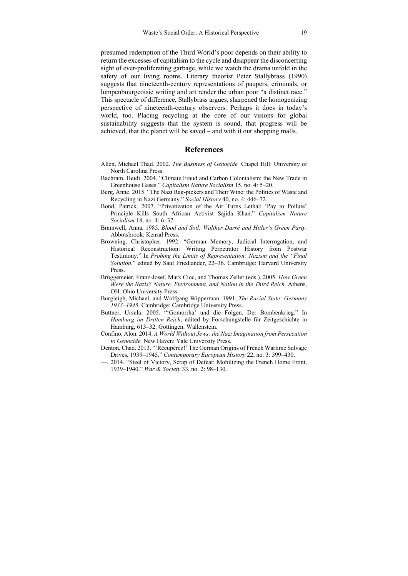presumed redemption of the Third World's poor depends on their ability to return the excesses of capitalism to the cycle and disappear the disconcerting sight of ever-proliferating garbage, while we watch the drama unfold in the safety of our living rooms. Literary theorist Peter Stallybrass (1990) suggests that nineteenth-century representations of paupers, criminals, or lumpenbourgeoisie writing and art render the urban poor "a distinct race." This spectacle of difference, Stallybrass argues, sharpened the homogenizing perspective of nineteenth-century observers. Perhaps it does in today's world, too. Placing recycling at the core of our visions for global sustainability suggests that the system is sound, that progress will be achieved, that the planet will be saved – and with it our shopping malls.

### **References**

- Allen, Michael Thad. 2002. *The Business of Genocide.* Chapel Hill: University of North Carolina Press.
- Bachram, Heidi. 2004. "Climate Fraud and Carbon Colonialism: the New Trade in Greenhouse Gases." *Capitalism Nature Socialism* 15, no. 4: 5–20.
- Berg, Anne. 2015. "The Nazi Rag-pickers and Their Wine: the Politics of Waste and Recycling in Nazi Germany." *Social History* 40, no. 4: 446–72.
- Bond, Patrick. 2007. "Privatization of the Air Turns Lethal: 'Pay to Pollute' Principle Kills South African Activist Sajida Khan." *Capitalism Nature Socialism* 18, no. 4: 6–37.
- Bramwell, Anna. 1985. *Blood and Soil: Walther Darré and Hitler's Green Party.* Abbotsbrook: Kensal Press.
- Browning, Christopher. 1992. "German Memory, Judicial Interrogation, and Historical Reconstruction: Writing Perpetrator History from Postwar Testimony." In *Probing the Limits of Representation: Nazism and the "Final Solution*," edited by Saul Friedlander, 22–36. Cambridge: Harvard University Press.
- Brüggemeier, Franz-Josef, Mark Cioc, and Thomas Zeller (eds.). 2005. *How Green Were the Nazis? Nature, Environment, and Nation in the Third Reich.* Athens, OH: Ohio University Press.
- Burgleigh, Michael, and Wolfgang Wipperman. 1991. *The Racial State: Germany 1933–1945.* Cambridge: Cambridge University Press.
- Büttner, Ursula. 2005. "'Gomorrha' und die Folgen. Der Bombenkrieg." In *Hamburg im Dritten Reich*, edited by Forschungstelle für Zeitgeschichte in Hamburg, 613–32. Göttingen: Wallenstein.
- Confino, Alon. 2014. *A World Without Jews: the Nazi Imagination from Persecution to Genocide.* New Haven: Yale University Press.
- Denton, Chad. 2013. "'Récupérez!' The German Origins of French Wartime Salvage Drives, 1939–1945." *Contemporary European History* 22, no. 3: 399–430.
- —. 2014. "Steel of Victory, Scrap of Defeat: Mobilizing the French Home Front, 1939–1940." *War & Society* 33, no. 2: 98–130.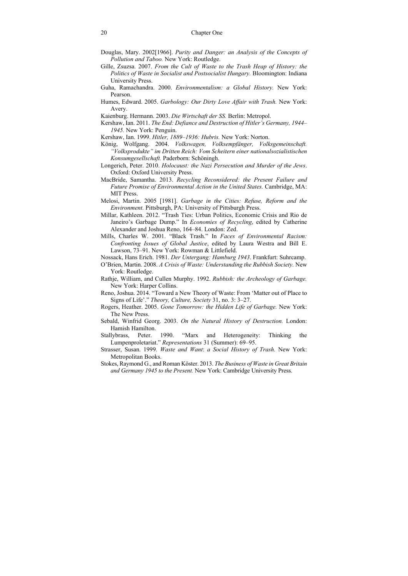- Douglas, Mary. 2002[1966]. *Purity and Danger: an Analysis of the Concepts of Pollution and Taboo.* New York: Routledge.
- Gille, Zsuzsa. 2007. *From the Cult of Waste to the Trash Heap of History: the Politics of Waste in Socialist and Postsocialist Hungary.* Bloomington: Indiana University Press.
- Guha, Ramachandra. 2000. *Environmentalism: a Global History.* New York: Pearson.
- Humes, Edward. 2005. *Garbology: Our Dirty Love Affair with Trash.* New York: Avery.
- Kaienburg. Hermann. 2003. *Die Wirtschaft der SS.* Berlin: Metropol.
- Kershaw, Ian. 2011. *The End: Defiance and Destruction of Hitler's Germany, 1944– 1945.* New York: Penguin.
- Kershaw, Ian. 1999. *Hitler, 1889–1936: Hubris.* New York: Norton.
- König, Wolfgang. 2004. *Volkswagen, Volksempfänger, Volksgemeinschaft. "Volksprodukte" im Dritten Reich: Vom Scheitern einer nationalsozialistischen Konsumgesellschaft.* Paderborn: Schöningh.
- Longerich, Peter. 2010. *Holocaust: the Nazi Persecution and Murder of the Jews*. Oxford: Oxford University Press.
- MacBride, Samantha. 2013. *Recycling Reconsidered: the Present Failure and Future Promise of Environmental Action in the United States.* Cambridge, MA: MIT Press.
- Melosi, Martin. 2005 [1981]. *Garbage in the Cities: Refuse, Reform and the Environment.* Pittsburgh, PA: University of Pittsburgh Press.
- Millar, Kathleen. 2012. "Trash Ties: Urban Politics, Economic Crisis and Rio de Janeiro's Garbage Dump." In *Economies of Recycling*, edited by Catherine Alexander and Joshua Reno, 164–84. London: Zed.
- Mills, Charles W. 2001. "Black Trash." In *Faces of Environmental Racism: Confronting Issues of Global Justice*, edited by Laura Westra and Bill E. Lawson, 73–91. New York: Rowman & Littlefield.
- Nossack, Hans Erich. 1981. *Der Untergang: Hamburg 1943*. Frankfurt: Suhrcamp.
- O'Brien, Martin. 2008. *A Crisis of Waste: Understanding the Rubbish Society.* New York: Routledge.
- Rathje, William, and Cullen Murphy. 1992. *Rubbish: the Archeology of Garbage.*  New York: Harper Collins.
- Reno, Joshua. 2014. "Toward a New Theory of Waste: From 'Matter out of Place to Signs of Life'." *Theory, Culture, Society* 31, no. 3: 3–27.
- Rogers, Heather. 2005. *Gone Tomorrow: the Hidden Life of Garbage.* New York: The New Press.
- Sebald, Winfrid Georg. 2003. *On the Natural History of Destruction.* London: Hamish Hamilton.
- Stallybrass, Peter. 1990. "Marx and Heterogeneity: Thinking the Lumpenproletariat." *Representations* 31 (Summer): 69–95.
- Strasser, Susan. 1999. *Waste and Want*: *a Social History of Trash.* New York: Metropolitan Books.
- Stokes, Raymond G., and Roman Köster. 2013. *The Business of Waste in Great Britain and Germany 1945 to the Present.* New York: Cambridge University Press.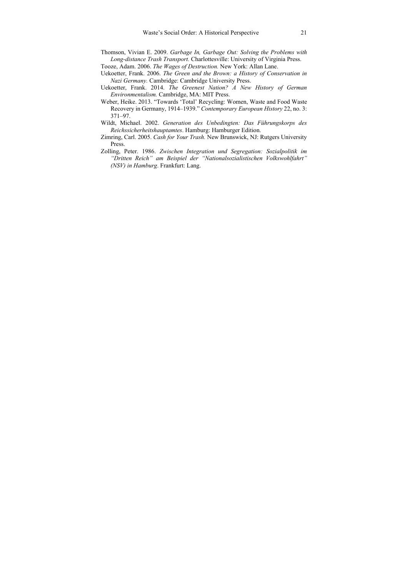- Thomson, Vivian E. 2009. *Garbage In, Garbage Out: Solving the Problems with Long-distance Trash Transport.* Charlottesville: University of Virginia Press.
- Tooze, Adam. 2006. *The Wages of Destruction.* New York: Allan Lane.
- Uekoetter, Frank. 2006. *The Green and the Brown: a History of Conservation in Nazi Germany.* Cambridge: Cambridge University Press.
- Uekoetter, Frank. 2014. *The Greenest Nation? A New History of German Environmentalism.* Cambridge, MA: MIT Press.
- Weber, Heike. 2013. "Towards 'Total' Recycling: Women, Waste and Food Waste Recovery in Germany, 1914–1939." *Contemporary European History* 22, no. 3: 371–97.
- Wildt, Michael. 2002. *Generation des Unbedingten: Das Führungskorps des Reichssicherheitshauptamtes*. Hamburg: Hamburger Edition.
- Zimring, Carl. 2005. *Cash for Your Trash.* New Brunswick, NJ: Rutgers University Press.
- Zolling, Peter. 1986. *Zwischen Integration und Segregation: Sozialpolitik im "Dritten Reich" am Beispiel der "Nationalsozialistischen Volkswohlfahrt" (NSV) in Hamburg*. Frankfurt: Lang.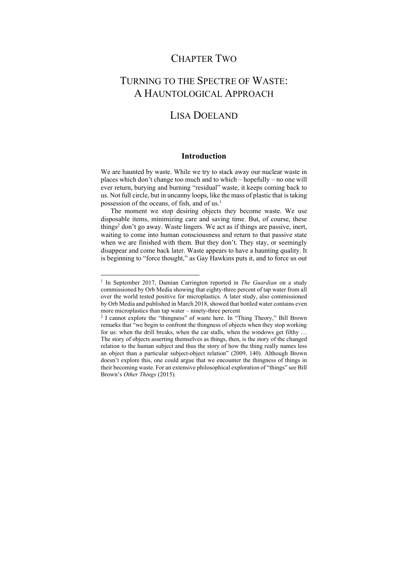### CHAPTER TWO

# TURNING TO THE SPECTRE OF WASTE: A HAUNTOLOGICAL APPROACH

## LISA DOELAND

### **Introduction**

We are haunted by waste. While we try to stack away our nuclear waste in places which don't change too much and to which – hopefully – no one will ever return, burying and burning "residual" waste, it keeps coming back to us. Not full circle, but in uncanny loops, like the mass of plastic that is taking possession of the oceans, of fish, and of us.1

The moment we stop desiring objects they become waste. We use disposable items, minimizing care and saving time. But, of course, these things<sup>2</sup> don't go away. Waste lingers. We act as if things are passive, inert, waiting to come into human consciousness and return to that passive state when we are finished with them. But they don't. They stay, or seemingly disappear and come back later. Waste appears to have a haunting quality. It is beginning to "force thought," as Gay Hawkins puts it, and to force us out

<sup>1</sup> In September 2017, Damian Carrington reported in *The Guardian* on a study commissioned by Orb Media showing that eighty-three percent of tap water from all over the world tested positive for microplastics. A later study, also commissioned by Orb Media and published in March 2018, showed that bottled water contains even more microplastics than tap water – ninety-three percent

<sup>2</sup> I cannot explore the "thingness" of waste here. In "Thing Theory," Bill Brown remarks that "we begin to confront the thingness of objects when they stop working for us: when the drill breaks, when the car stalls, when the windows get filthy … The story of objects asserting themselves as things, then, is the story of the changed relation to the human subject and thus the story of how the thing really names less an object than a particular subject-object relation" (2009, 140). Although Brown doesn't explore this, one could argue that we encounter the thingness of things in their becoming waste. For an extensive philosophical exploration of "things" see Bill Brown's *Other Things* (2015).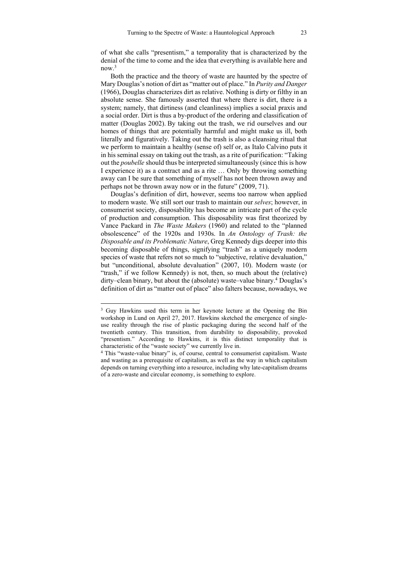of what she calls "presentism," a temporality that is characterized by the denial of the time to come and the idea that everything is available here and now.3

Both the practice and the theory of waste are haunted by the spectre of Mary Douglas's notion of dirt as "matter out of place." In *Purity and Danger* (1966), Douglas characterizes dirt as relative. Nothing is dirty or filthy in an absolute sense. She famously asserted that where there is dirt, there is a system; namely, that dirtiness (and cleanliness) implies a social praxis and a social order. Dirt is thus a by-product of the ordering and classification of matter (Douglas 2002). By taking out the trash, we rid ourselves and our homes of things that are potentially harmful and might make us ill, both literally and figuratively. Taking out the trash is also a cleansing ritual that we perform to maintain a healthy (sense of) self or, as Italo Calvino puts it in his seminal essay on taking out the trash, as a rite of purification: "Taking out the *poubelle* should thus be interpreted simultaneously (since this is how I experience it) as a contract and as a rite … Only by throwing something away can I be sure that something of myself has not been thrown away and perhaps not be thrown away now or in the future" (2009, 71).

Douglas's definition of dirt, however, seems too narrow when applied to modern waste. We still sort our trash to maintain our *selves*; however, in consumerist society, disposability has become an intricate part of the cycle of production and consumption. This disposability was first theorized by Vance Packard in *The Waste Makers* (1960) and related to the "planned obsolescence" of the 1920s and 1930s. In *An Ontology of Trash: the Disposable and its Problematic Nature*, Greg Kennedy digs deeper into this becoming disposable of things, signifying "trash" as a uniquely modern species of waste that refers not so much to "subjective, relative devaluation," but "unconditional, absolute devaluation" (2007, 10). Modern waste (or "trash," if we follow Kennedy) is not, then, so much about the (relative) dirty–clean binary, but about the (absolute) waste–value binary.4 Douglas's definition of dirt as "matter out of place" also falters because, nowadays, we

<sup>&</sup>lt;sup>3</sup> Guy Hawkins used this term in her keynote lecture at the Opening the Bin workshop in Lund on April 27, 2017. Hawkins sketched the emergence of singleuse reality through the rise of plastic packaging during the second half of the twentieth century. This transition, from durability to disposability, provoked "presentism." According to Hawkins, it is this distinct temporality that is characteristic of the "waste society" we currently live in.

<sup>4</sup> This "waste-value binary" is, of course, central to consumerist capitalism. Waste and wasting as a prerequisite of capitalism, as well as the way in which capitalism depends on turning everything into a resource, including why late-capitalism dreams of a zero-waste and circular economy, is something to explore.